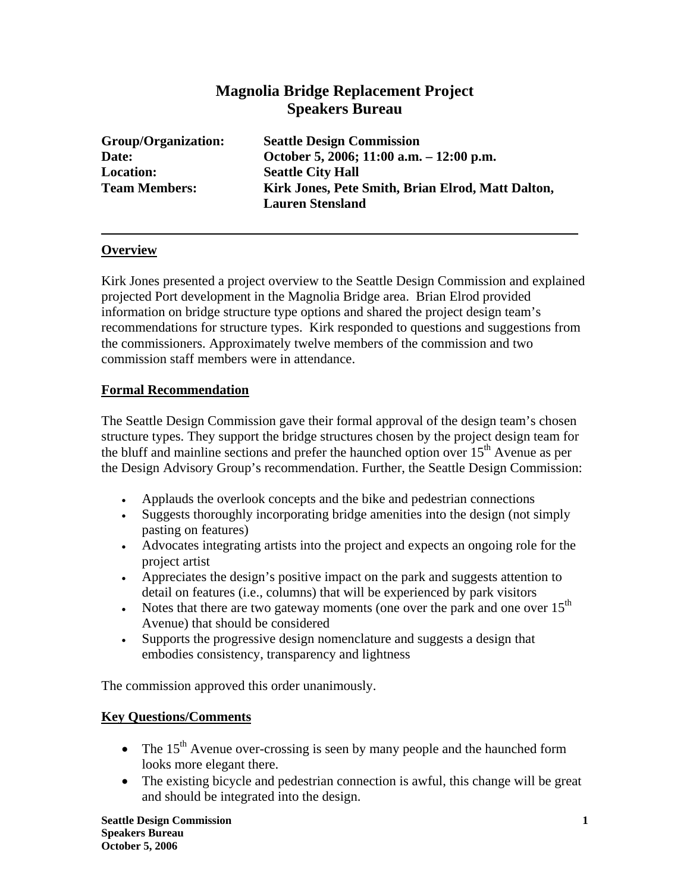## **Magnolia Bridge Replacement Project Speakers Bureau**

| Group/Organization:  | <b>Seattle Design Commission</b>                                             |
|----------------------|------------------------------------------------------------------------------|
| Date:                | October 5, 2006; 11:00 a.m. - 12:00 p.m.                                     |
| <b>Location:</b>     | <b>Seattle City Hall</b>                                                     |
| <b>Team Members:</b> | Kirk Jones, Pete Smith, Brian Elrod, Matt Dalton,<br><b>Lauren Stensland</b> |

## **Overview**

Kirk Jones presented a project overview to the Seattle Design Commission and explained projected Port development in the Magnolia Bridge area. Brian Elrod provided information on bridge structure type options and shared the project design team's recommendations for structure types. Kirk responded to questions and suggestions from the commissioners. Approximately twelve members of the commission and two commission staff members were in attendance.

## **Formal Recommendation**

The Seattle Design Commission gave their formal approval of the design team's chosen structure types. They support the bridge structures chosen by the project design team for the bluff and mainline sections and prefer the haunched option over  $15<sup>th</sup>$  Avenue as per the Design Advisory Group's recommendation. Further, the Seattle Design Commission:

- Applauds the overlook concepts and the bike and pedestrian connections
- Suggests thoroughly incorporating bridge amenities into the design (not simply pasting on features)
- Advocates integrating artists into the project and expects an ongoing role for the project artist
- Appreciates the design's positive impact on the park and suggests attention to detail on features (i.e., columns) that will be experienced by park visitors
- Notes that there are two gateway moments (one over the park and one over  $15<sup>th</sup>$ Avenue) that should be considered
- Supports the progressive design nomenclature and suggests a design that embodies consistency, transparency and lightness

The commission approved this order unanimously.

## **Key Questions/Comments**

- The  $15<sup>th</sup>$  Avenue over-crossing is seen by many people and the haunched form looks more elegant there.
- The existing bicycle and pedestrian connection is awful, this change will be great and should be integrated into the design.

**Seattle Design Commission 1 1 Speakers Bureau October 5, 2006**